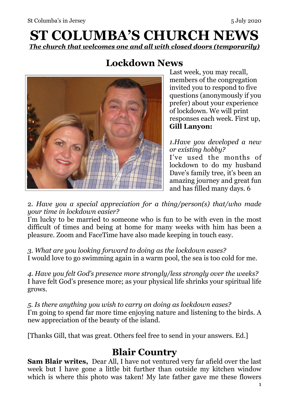# **ST COLUMBA'S CHURCH NEWS**  *The church that welcomes one and all with closed doors (temporarily)*

# **Lockdown News**



Last week, you may recall, members of the congregation invited you to respond to five questions (anonymously if you prefer) about your experience of lockdown. We will print responses each week. First up, **Gill Lanyon:**

*1.Have you developed a new or existing hobby?* 

I've used the months of lockdown to do my husband Dave's family tree, it's been an amazing journey and great fun and has filled many days. 6

2. *Have you a special appreciation for a thing/person(s) that/who made your time in lockdown easier?* 

I'm lucky to be married to someone who is fun to be with even in the most difficult of times and being at home for many weeks with him has been a pleasure. Zoom and FaceTime have also made keeping in touch easy.

*3. What are you looking forward to doing as the lockdown eases?*  I would love to go swimming again in a warm pool, the sea is too cold for me.

*4. Have you felt God's presence more strongly/less strongly over the weeks?*  I have felt God's presence more; as your physical life shrinks your spiritual life grows.

*5. Is there anything you wish to carry on doing as lockdown eases?*  I'm going to spend far more time enjoying nature and listening to the birds. A new appreciation of the beauty of the island.

[Thanks Gill, that was great. Others feel free to send in your answers. Ed.]

#### **Blair Country**

**Sam Blair writes,** Dear All, I have not ventured very far afield over the last week but I have gone a little bit further than outside my kitchen window which is where this photo was taken! My late father gave me these flowers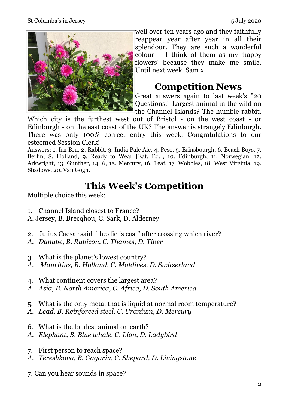

well over ten years ago and they faithfully reappear year after year in all their splendour. They are such a wonderful  $\text{colour}$  – I think of them as my 'happy' flowers' because they make me smile. Until next week. Sam x

### **Competition News**

Great answers again to last week's "20 Questions." Largest animal in the wild on the Channel Islands? The humble rabbit.

Which city is the furthest west out of Bristol - on the west coast - or Edinburgh - on the east coast of the UK? The answer is strangely Edinburgh. There was only 100% correct entry this week. Congratulations to our esteemed Session Clerk!

Answers: 1. Irn Bru, 2. Rabbit, 3. India Pale Ale, 4. Peso, 5. Erinsbourgh, 6. Beach Boys, 7. Berlin, 8. Holland, 9. Ready to Wear [Eat. Ed.], 10. Edinburgh, 11. Norwegian, 12. Arkwright, 13. Gunther, 14. 6, 15. Mercury, 16. Leaf, 17. Wobbles, 18. West Virginia, 19. Shadows, 20. Van Gogh.

# **This Week's Competition**

Multiple choice this week:

- 1. Channel Island closest to France?
- A. Jersey, B. Brecqhou, C. Sark, D. Alderney
- 2. Julius Caesar said "the die is cast" after crossing which river?
- *A. Danube, B. Rubicon, C. Thames, D. Tiber*
- 3. What is the planet's lowest country?
- *A. Mauritius, B. Holland, C. Maldives, D. Switzerland*
- 4. What continent covers the largest area?
- *A. Asia, B. North America, C. Africa, D. South America*
- 5. What is the only metal that is liquid at normal room temperature?
- *A. Lead, B. Reinforced steel, C. Uranium, D. Mercury*
- 6. What is the loudest animal on earth?
- *A. Elephant, B. Blue whale, C. Lion, D. Ladybird*
- 7. First person to reach space?
- *A. Tereshkova, B. Gagarin, C. Shepard, D. Livingstone*
- 7. Can you hear sounds in space?